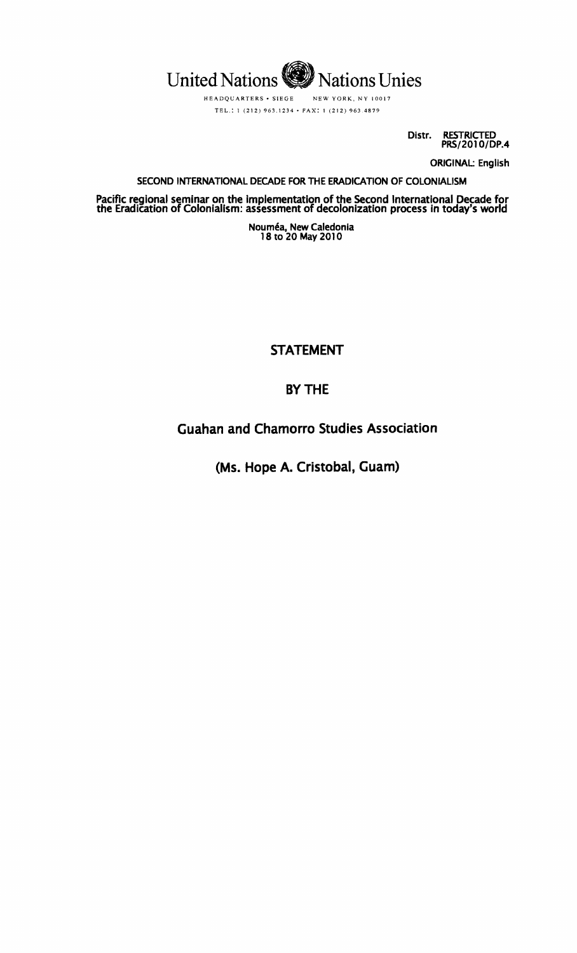

HEADQUARTERS· SIEGE NEW YORK. NY 10017 TEL.: 1 (212) 963.1234. FAX: 1 (212) 963.4879

> Distr. RESTRICTED PRS/2010/DP.4

> > ORIGINAl: English

### SECOND INTERNATIONAL DECADE FOR THE ERADICATION OF COLONIALISM

Pacific regional seminar on the Implementation of the Second International Decade for the Eradication of Colonialism: assessment of decolonizatlon process In today's world

> Nouméa, New Caledonia 18 to 20 May 2010

> > STATEMENT

# BY THE

Guahan and Chamorro Studies Association

(Ms. Hope A. Cristobal, Guam)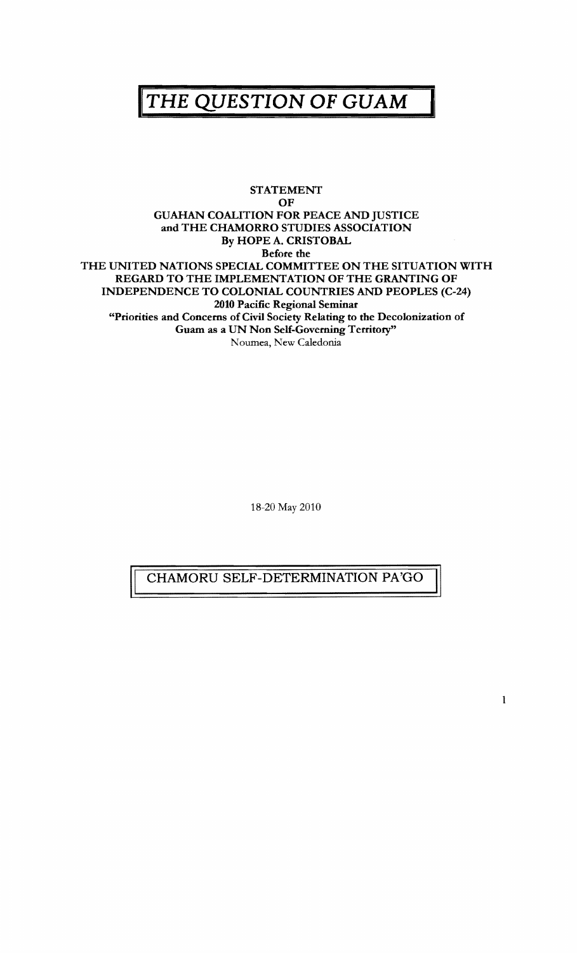# **HE QUESTION OF GUAM**

#### STATEMENT OF GUAHAN COALITION FOR PEACE AND JUSTICE and THE CHAMORRO STUDIES ASSOCIATION By HOPE A. CRISTOBAL Before the THE UNITED NATIONS SPECIAL COMMITTEE ON THE SITUATION WITH REGARD TO THE IMPLEMENTATION OF THE GRANTING OF INDEPENDENCE TO COLONIAL COUNTRIES AND PEOPLES (C-24) 2010 Pacific Regional Seminar "Priorities and Concerns of Civil Society Relating to the Decolonization of Guam as a UN Non Self-Governing Territory" Noumea, New Caledonia

18-20 May 2010

## CHAMORU SELF-DETERMINATION PA'GO

1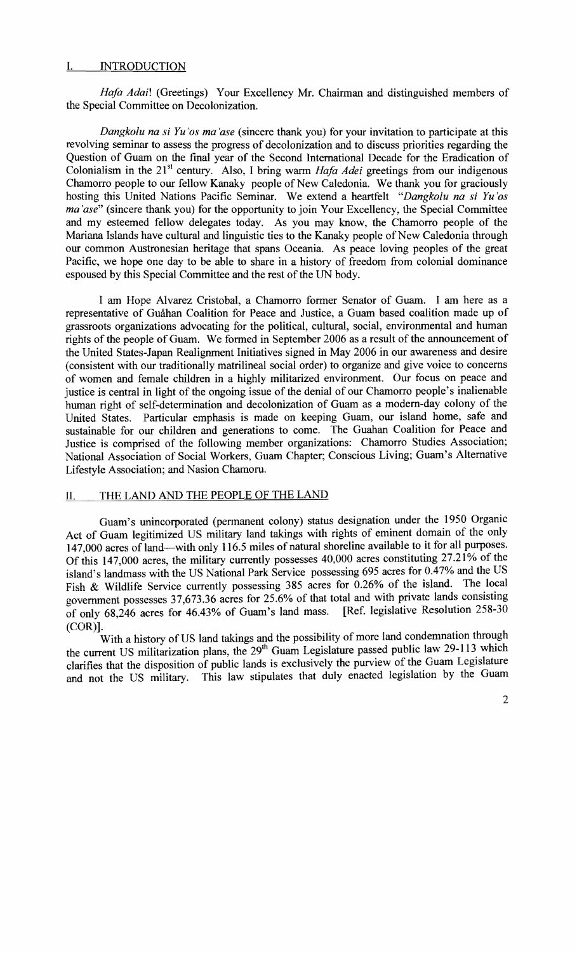#### I. INTRODUCTION

*Hafa Adai!* (Greetings) Your Excellency Mr. Chairman and distinguished members of the Special Committee on Decolonization.

*Dangkolu na si Yu 'os rna 'ase* (sincere thank you) for your invitation to participate at this revolving seminar to assess the progress of decolonization and to discuss priorities regarding the Question of Guam on the final year of the Second International Decade for the Eradication of Colonialism in the 21<sup>st</sup> century. Also, I bring warm *Hafa Adei* greetings from our indigenous Chamorro people to our fellow Kanaky people of New Caledonia. We thank you for graciously hosting this United Nations Pacific Seminar. We extend a heartfelt *"Dangkolu na si Yu 'os ma'ase*" (sincere thank you) for the opportunity to join Your Excellency, the Special Committee and my esteemed fellow delegates today. As you may know, the Chamorro people of the Mariana Islands have cultural and linguistic ties to the Kanaky people of New Caledonia through our common Austronesian heritage that spans Oceania. As peace loving peoples of the great Pacific, we hope one day to be able to share in a history of freedom from colonial dominance espoused by this Special Committee and the rest of the UN body.

I am Hope Alvarez Cristobal, a Chamorro former Senator of Guam. I am here as a representative of Guahan Coalition for Peace and Justice, a Guam based coalition made up of grassroots organizations advocating for the political, cultural, social, environmental and human rights of the people of Guam. We formed in September 2006 as a result of the announcement of the United States-Japan Realignment Initiatives signed in May 2006 in our awareness and desire (consistent with our traditionally matrilineal social order) to organize and give voice to concerns of women and female children in a highly militarized environment. Our focus on peace and justice is central in light of the ongoing issue of the denial of our Chamorro people's inalienable human right of self-determination and decolonization of Guam as a modem-day colony of the United States. Particular emphasis is made on keeping Guam, our island home, safe and sustainable for our children and generations to come. The Guahan Coalition for Peace and Justice is comprised of the following member organizations: Chamorro Studies Association; National Association of Social Workers, Guam Chapter; Conscious Living; Guam's Alternative Lifestyle Association; and Nasion Chamoru.

#### II. THE LAND AND THE PEOPLE OF THE LAND

Guam's unincorporated (permanent colony) status designation under the 1950 Organic Act of Guam legitimized US military land takings with rights of eminent domain of the only 147,000 acres of land-with only 116.5 miles of natural shoreline available to it for all purposes. Of this 147,000 acres, the military currently possesses 40,000 acres constituting 27.21% of the island's landmass with the US National Park Service possessing 695 acres for 0.47% and the US Fish & Wildlife Service currently possessing 385 acres for 0.26% of the island. The local government possesses 37,673.36 acres for 25.6% of that total and with private lands consisting of only 68,246 acres for 46.43% of Guam's land mass. [Ref. legislative Resolution 258-30 (COR)].

With a history of US land takings and the possibility of more land condemnation through the current US militarization plans, the 29<sup>th</sup> Guam Legislature passed public law 29-113 which clarifies that the disposition of public lands is exclusively the purview of the Guam Legislature and not the US military. This law stipulates that duly enacted legislation by the Guam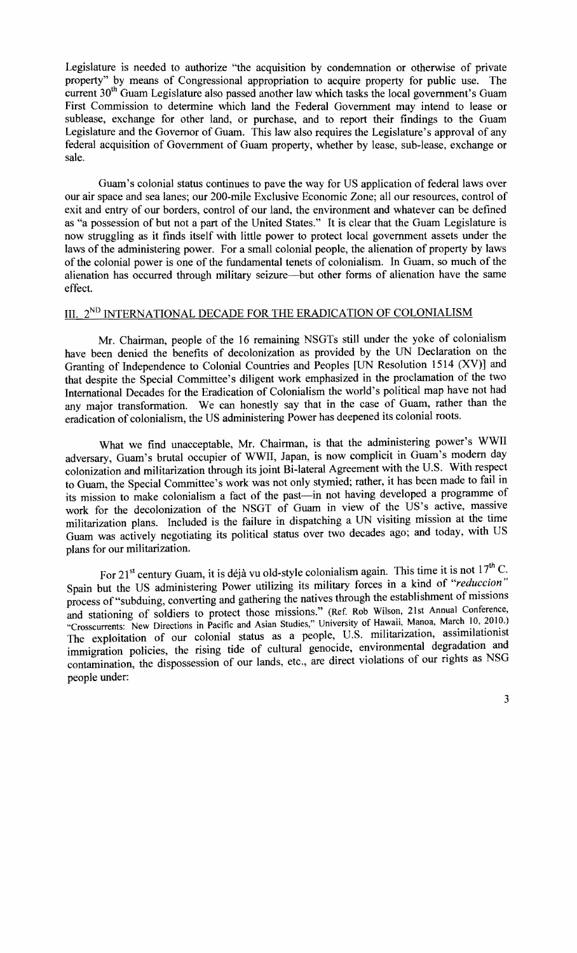Legislature is needed to authorize "the acquisition by condemnation or otherwise of private property" by means of Congressional appropriation to acquire property for public use. The current  $30<sup>th</sup>$  Guam Legislature also passed another law which tasks the local government's Guam First Commission to determine which land the Federal Government may intend to lease or sublease, exchange for other land, or purchase, and to report their findings to the Guam Legislature and the Governor of Guam. This law also requires the Legislature's approval of any federal acquisition of Government of Guam property, whether by lease, sub-lease, exchange or sale.

Guam's colonial status continues to pave the way for US application of federal laws over our air space and sea lanes; our 200-mile Exclusive Economic Zone; all our resources, control of exit and entry of our borders, control of our land, the environment and whatever can be defined as "a possession of but not a part of the United States." It is clear that the Guam Legislature is now struggling as it finds itself with little power to protect local government assets under the laws of the administering power. For a small colonial people, the alienation of property by laws of the colonial power is one of the fundamental tenets of colonialism. In Guam, so much of the alienation has occurred through military seizure-but other forms of alienation have the same effect.

## III. 2<sup>ND</sup> INTERNATIONAL DECADE FOR THE ERADICATION OF COLONIALISM

Mr. Chairman, people of the 16 remaining NSGTs still under the yoke of colonialism have been denied the benefits of decolonization as provided by the UN Declaration on the Granting of Independence to Colonial Countries and Peoples [UN Resolution 1514 (XV)] and that despite the Special Committee's diligent work emphasized in the proclamation of the two International Decades for the Eradication of Colonialism the world's political map have not had any major transformation. We can honestly say that in the case of Guam, rather than the eradication of colonialism, the US administering Power has deepened its colonial roots.

What we find unacceptable, Mr. Chairman, is that the administering power's WWII adversary, Guam's brutal occupier of WWII, Japan, is now complicit in Guam's modem day colonization and militarization through its joint Bi-Iateral Agreement with the U.S. With respect to Guam, the Special Committee's work was not only stymied; rather, it has been made to fail in its mission to make colonialism a fact of the past-in not having developed a programme of work for the decolonization of the NSGT of Guam in view of the US's active, massive militarization plans. Included is the failure in dispatching a UN visiting mission at the time Guam was actively negotiating its political status over two decades ago; and today, with US plans for our militarization.

For 21<sup>st</sup> century Guam, it is déjà vu old-style colonialism again. This time it is not  $17<sup>th</sup>$  C. Spain but the US administering Power utilizing its military forces in a kind of *"reduccion"*  process of "subduing, converting and gathering the natives through the establishment of missions and stationing of soldiers to protect those missions." (Ref. Rob Wilson, 21st Annual Conference, "Crosscurrents: New Directions in Pacific and Asian Studies," University of Hawaii, Manoa, March 10, 2010.) The exploitation of our colonial status as a people, U.S. militarization, assimilationist immigration policies, the rising tide of cultural genocide, environmental degradation and contamination, the dispossession of our lands, etc., are direct violations of our rights as NSG people under: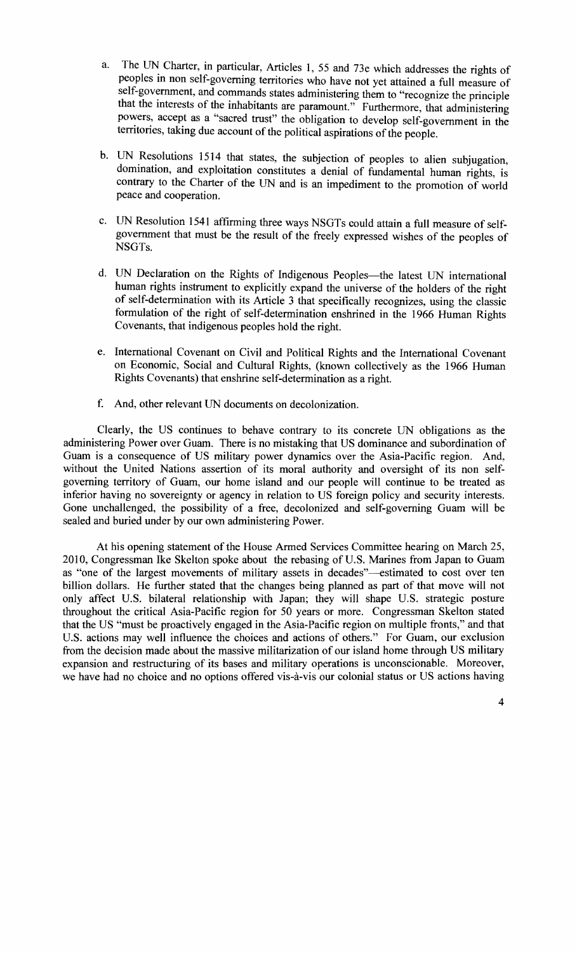- a. The UN Charter, in particular, Articles 1, 55 and 73e which addresses the rights of peoples in non self-governing territories who have not yet attained a full measure of self-government, and commands states administering them to "recognize the principle that the interests of the inhabitants are paramount." Furthermore, that administering powers, accept as a "sacred trust" the obligation to develop self-government in the territories, taking due account of the political aspirations of the people.
- b. UN Resolutions 1514 that states, the subjection of peoples to alien subjugation, domination, and exploitation constitutes a denial of fundamental human rights, is contrary to the Charter of the UN and is an impediment to the promotion of world peace and cooperation.
- c. UN Resolution 1541 affirming three ways NSGTs could attain a full measure of selfgovernment that must be the result of the freely expressed wishes of the peoples of NSGTs.
- d. UN Declaration on the Rights of Indigenous Peoples-the latest UN international human rights instrument to explicitly expand the universe of the holders of the right of self-determination with its Article 3 that specifically recognizes, using the classic formulation of the right of self-determination enshrined in the 1966 Human Rights Covenants, that indigenous peoples hold the right.
- e. International Covenant on Civil and Political Rights and the International Covenant on Economic, Social and Cultural Rights, (known collectively as the 1966 Human Rights Covenants) that enshrine self-determination as a right.
- f. And, other relevant UN documents on decolonization.

Clearly, the US continues to behave contrary to its concrete UN obligations as the administering Power over Guam. There is no mistaking that US dominance and subordination of Guam is a consequence of US military power dynamics over the Asia-Pacific region. And, without the United Nations assertion of its moral authority and oversight of its non selfgoverning territory of Guam, our home island and our people will continue to be treated as inferior having no sovereignty or agency in relation to US foreign policy and security interests. Gone unchallenged, the possibility of a free, decolonized and self-governing Guam will be sealed and buried under by our own administering Power.

At his opening statement of the House Armed Services Committee hearing on March 25, 2010, Congressman Ike Skelton spoke about the rebasing of U.S. Marines from Japan to Guam as "one of the largest movements of military assets in decades"-estimated to cost over ten billion dollars. He further stated that the changes being planned as part of that move will not only affect U.S. bilateral relationship with Japan; they will shape U.S. strategic posture throughout the critical Asia-Pacific region for 50 years or more. Congressman Skelton stated that the US "must be proactively engaged in the Asia-Pacific region on multiple fronts," and that U.S. actions may well influence the choices and actions of others." For Guam, our exclusion from the decision made about the massive militarization of our island home through US military expansion and restructuring of its bases and military operations is unconscionable. Moreover, we have had no choice and no options offered vis-à-vis our colonial status or US actions having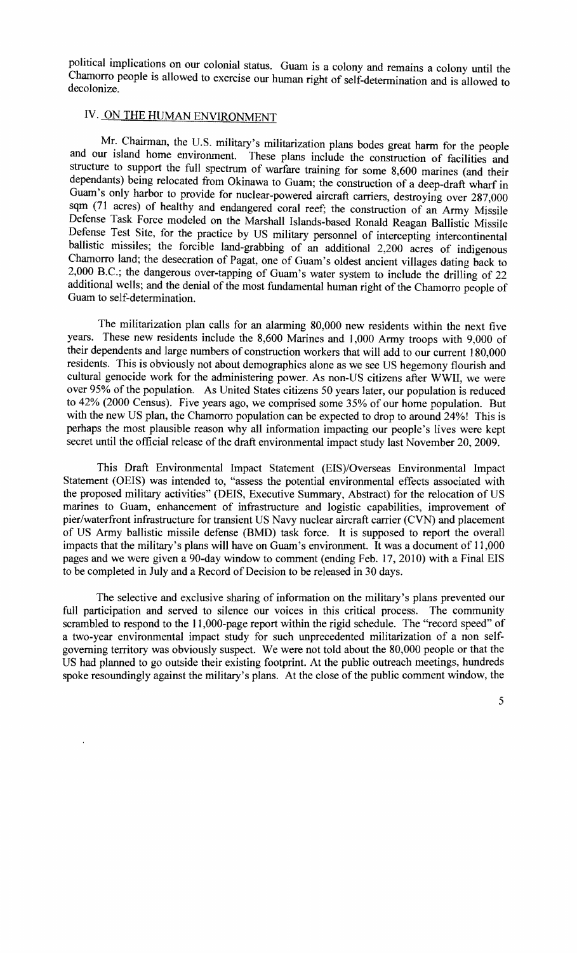political implications on our colonial status. Guam is a colony and remains a colony until the Chamorro people is allowed to exercise our human right of self-determination and is allowed to decolonize.

# IV. ON THE HUMAN ENVIRONMENT

Mr. Chairman, the U.S. military's militarization plans bodes great harm for the people and our island home environment. These plans include the construction of facilities and structure to support the full spectrum of warfare training for some 8,600 marines (and their dependants) being relocated from Okinawa to Guam; the construction of a deep-draft wharf in Guam's only harbor to provide for nuclear-powered aircraft carriers, destroying over 287,000 sqm (71 acres) of healthy and endangered coral reef; the construction of an Army Missile Defense Task Force modeled on the Marshall Islands-based Ronald Reagan Ballistic Missile Defense Test Site, for the practice by US military personnel of intercepting intercontinental ballistic missiles; the forcible land-grabbing of an additional 2,200 acres of indigenous Chamorro land; the desecration of Pagat, one of Guam's oldest ancient villages dating back to 2,000 B.C.; the dangerous over-tapping of Guam's water system to include the drilling of 22 additional wells; and the denial of the most fundamental human right of the Chamorro people of Guam to self-determination.

The militarization plan calls for an alarming 80,000 new residents within the next five years. These new residents include the 8,600 Marines and 1,000 Army troops with 9,000 of their dependents and large numbers of construction workers that will add to our current 180,000 residents. This is obviously not about demographics alone as we see US hegemony flourish and cultural genocide work for the administering power. As non-US citizens after WWII, we were over 95% of the population. As United States citizens 50 years later, our population is reduced to 42% (2000 Census). Five years ago, we comprised some 35% of our home population. But with the new US plan, the Chamorro population can be expected to drop to around 24%! This is perhaps the most plausible reason why all information impacting our people's lives were kept secret until the official release of the draft environmental impact study last November 20, 2009.

This Draft Environmental Impact Statement (EIS)/Overseas Environmental Impact Statement (OEIS) was intended to, "assess the potential environmental effects associated with the proposed military activities" (DEIS, Executive Summary, Abstract) for the relocation of US marines to Guam, enhancement of infrastructure and logistic capabilities, improvement of pier/waterfront infrastructure for transient US Navy nuclear aircraft carrier (CVN) and placement of US Army ballistic missile defense (BMD) task force. It is supposed to report the overall impacts that the military's plans will have on Guam's environment. It was a document of 11,000 pages and we were given a 90-day window to comment (ending Feb. 17,2010) with a Final EIS to be completed in July and a Record of Decision to be released in 30 days.

The selective and exclusive sharing of information on the military's plans prevented our full participation and served to silence our voices in this critical process. The community scrambled to respond to the 11,000-page report within the rigid schedule. The "record speed" of a two-year environmental impact study for such unprecedented militarization of a non selfgoverning territory was obviously suspect. We were not told about the 80,000 people or that the US had planned to go outside their existing footprint. At the public outreach meetings, hundreds spoke resoundingly against the military's plans. At the close of the public comment window, the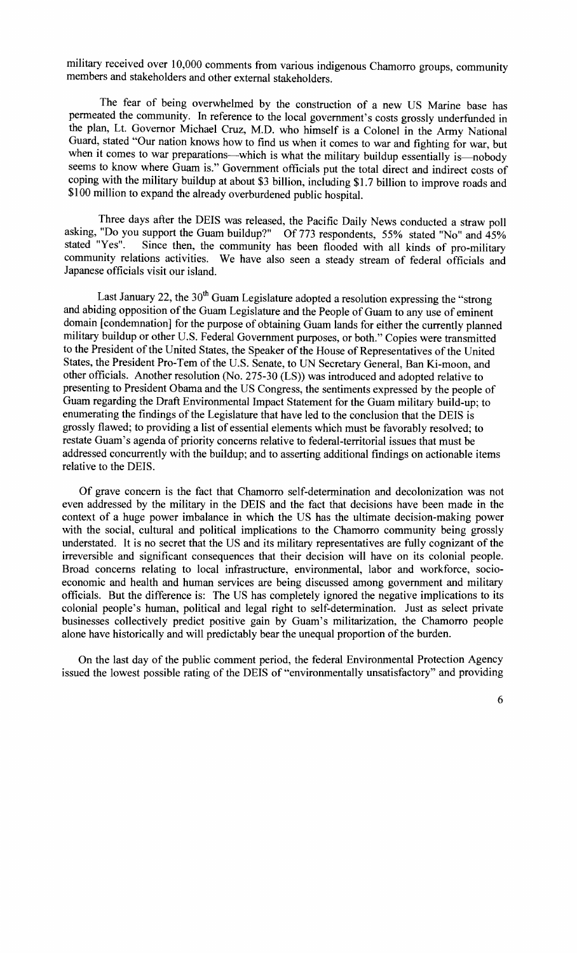military received over 10,000 comments from various indigenous Chamorro groups, community members and stakeholders and other external stakeholders.

The fear of being overwhelmed by the construction of a new US Marine base has permeated the community. In reference to the local government's costs grossly underfunded in the plan, Lt. Governor Michael Cruz, M.D. who himself is a Colonel in the Army National Guard, stated "Our nation knows how to find us when it comes to war and fighting for war, but when it comes to war preparations-which is what the military buildup essentially is-nobody seems to know where Guam is." Government officials put the total direct and indirect costs of coping with the military buildup at about \$3 billion, including \$1.7 billion to improve roads and \$100 million to expand the already overburdened public hospital.

Three days after the DEIS was released, the Pacific Daily News conducted a straw poll asking, "Do you support the Guam buildup?" Of 773 respondents, 55% stated "No" and 45% stated "Yes". Since then, the community has been flooded with all kinds of pro-military Since then, the community has been flooded with all kinds of pro-military community relations activities. We have also seen a steady stream of federal officials and Japanese officials visit our island.

Last January 22, the  $30<sup>th</sup>$  Guam Legislature adopted a resolution expressing the "strong and abiding opposition of the Guam Legislature and the People of Guam to any use of eminent domain [condemnation] for the purpose of obtaining Guam lands for either the currently planned military buildup or other U.S. Federal Government purposes, or both." Copies were transmitted to the President of the United States, the Speaker of the House of Representatives of the United States, the President Pro-Tem of the U.S. Senate, to UN Secretary General, Ban Ki-moon, and other officials. Another resolution (No. 275-30 (LS)) was introduced and adopted relative to presenting to President Obama and the US Congress, the sentiments expressed by the people of Guam regarding the Draft Environmental Impact Statement for the Guam military build-up; to enumerating the findings of the Legislature that have led to the conclusion that the DEIS is grossly flawed; to providing a list of essential elements which must be favorably resolved; to restate Guam's agenda of priority concerns relative to federal-territorial issues that must be addressed concurrently with the buildup; and to asserting additional findings on actionable items relative to the DEIS.

Of grave concern is the fact that Chamorro self-determination and decolonization was not even addressed by the military in the DEIS and the fact that decisions have been made in the context of a huge power imbalance in which the US has the ultimate decision-making power with the social, cultural and political implications to the Chamorro community being grossly understated. It is no secret that the US and its military representatives are fully cognizant of the irreversible and significant consequences that their decision will have on its colonial people. Broad concerns relating to local infrastructure, environmental, labor and workforce, socioeconomic and health and human services are being discussed among government and military officials. But the difference is: The US has completely ignored the negative implications to its colonial people's human, political and legal right to self-determination. Just as select private businesses collectively predict positive gain by Guam's militarization, the Chamorro people alone have historically and will predictably bear the unequal proportion of the burden.

On the last day of the public comment period, the federal Environmental Protection Agency issued the lowest possible rating of the DEIS of "environmentally unsatisfactory" and providing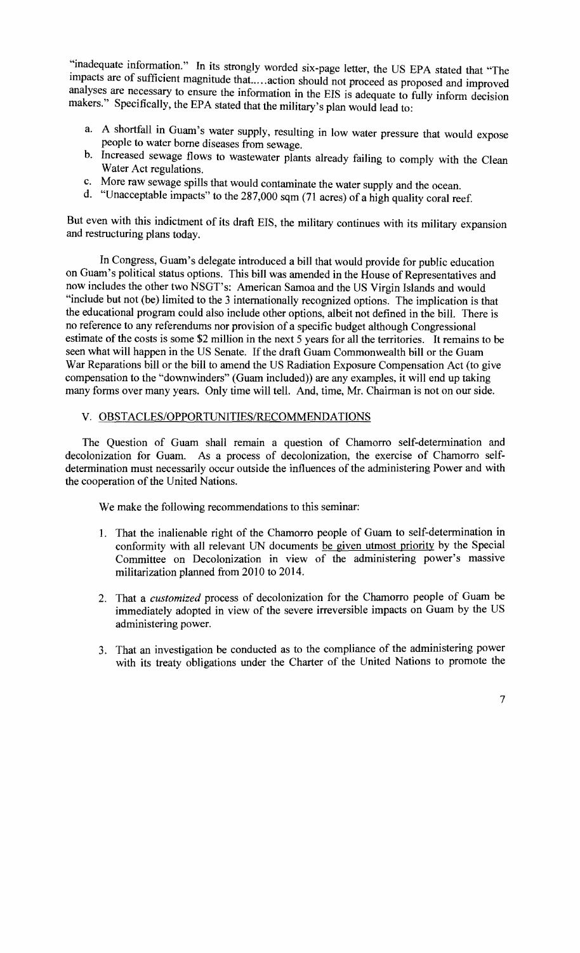:'inadequate information." In its strongly worded six-page letter, the US EPA stated that "The impacts are of sufficient magnitude that.....action should not proceed as proposed and improved analyses are necessary to ensure the information in the EIS is adequate to fully inform decision makers." Specifically, the EPA stated that the military's plan would lead to:

- a. A shortfall in Guam's water supply, resulting in low water pressure that would expose people to water borne diseases from sewage.
- b. Increased sewage flows to wastewater plants already failing to comply with the Clean Water Act regulations.
- c. More raw sewage spills that would contaminate the water supply and the ocean.
- d. "Unacceptable impacts" to the 287,000 sqm (71 acres) of a high quality coral reef.

But even with this indictment of its draft EIS, the military continues with its military expansion and restructuring plans today.

In Congress, Guam's delegate introduced a bill that would provide for public education on Guam's political status options. This bill was amended in the House of Representatives and now includes the other two NSGT's: American Samoa and the US Virgin Islands and would "include but not (be) limited to the 3 internationally recognized options. The implication is that the educational program could also include other options, albeit not defined in the bilL There is no reference to any referendums nor provision of a specific budget although Congressional estimate of the costs is some \$2 million in the next 5 years for all the territories. It remains to be seen what will happen in the US Senate. If the draft Guam Commonwealth bill or the Guam War Reparations bill or the bill to amend the US Radiation Exposure Compensation Act (to give compensation to the "downwinders" (Guam included)) are any examples, it will end up taking many forms over many years. Only time will tell. And, time, Mr. Chairman is not on our side.

#### V. *OBSTACLES/OPPORTUNITIES/RECOMMENDA*TIONS

The Question of Guam shall remain a question of Chamorro self-determination and decolonization for Guam. As a process of decolonization, the exercise of Chamorro selfdetermination must necessarily occur outside the influences of the administering Power and with the cooperation of the United Nations.

We make the following recommendations to this seminar:

- 1. That the inalienable right of the Chamorro people of Guam to self-determination in conformity with all relevant UN documents be given utmost priority by the Special Committee on Decolonization in view of the administering power's massive militarization planned from 2010 to 2014.
- 2. That a *customized* process of decolonization for the Chamorro people of Guam be immediately adopted in view of the severe irreversible impacts on Guam by the US administering power.
- 3. That an investigation be conducted as to the compliance of the administering power with its treaty obligations under the Charter of the United Nations to promote the